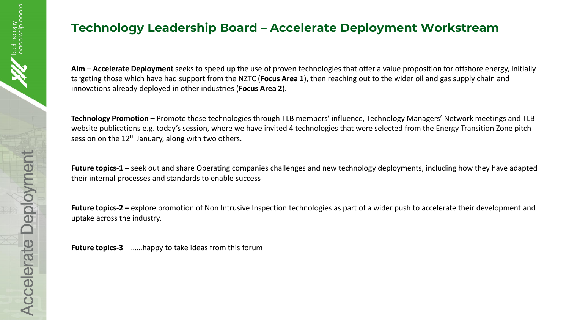## **Technology Leadership Board – Accelerate Deployment Workstream**

**Aim – Accelerate Deployment** seeks to speed up the use of proven technologies that offer a value proposition for offshore energy, initially targeting those which have had support from the NZTC (**Focus Area 1**), then reaching out to the wider oil and gas supply chain and innovations already deployed in other industries (**Focus Area 2**).

**Technology Promotion –** Promote these technologies through TLB members' influence, Technology Managers' Network meetings and TLB website publications e.g. today's session, where we have invited 4 technologies that were selected from the Energy Transition Zone pitch session on the  $12<sup>th</sup>$  January, along with two others.

**Future topics-1 –** seek out and share Operating companies challenges and new technology deployments, including how they have adapted their internal processes and standards to enable success

**Future topics-2 –** explore promotion of Non Intrusive Inspection technologies as part of a wider push to accelerate their development and uptake across the industry.

**Future topics-3** – ……happy to take ideas from this forum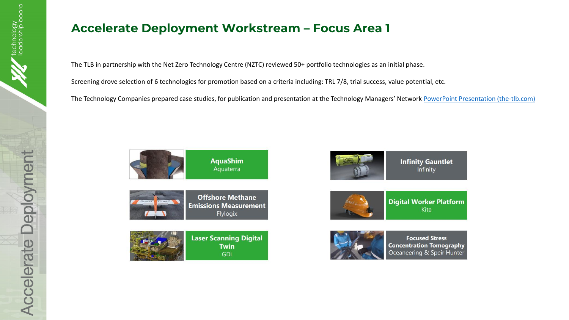## **Accelerate Deployment Workstream – Focus Area 1**

The TLB in partnership with the Net Zero Technology Centre (NZTC) reviewed 50+ portfolio technologies as an initial phase.

Screening drove selection of 6 technologies for promotion based on a criteria including: TRL 7/8, trial success, value potential, etc.

The Technology Companies prepared case studies, for publication and presentation at the Technology Managers' Network [PowerPoint Presentation \(the-tlb.com\)](http://www.the-tlb.com/pdf/Developers-Presentation-and-Technology-Insights-Microsite-Overview.pdf)



**AquaShim** Aquaterra



**Offshore Methane Emissions Measurement** Flylogix









**Focused Stress Concentration Tomography** Oceaneering & Speir Hunter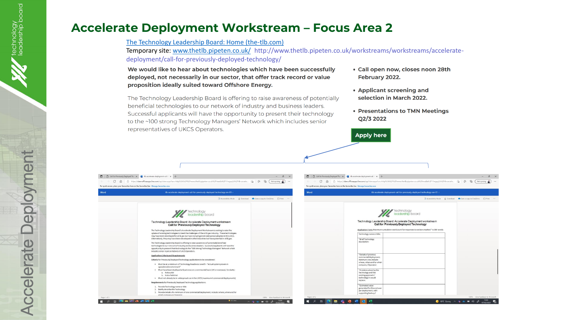## **Accelerate Deployment Workstream – Focus Area 2**

[The Technology Leadership Board: Home \(the-tlb.com\)](http://www.the-tlb.com/)

Temporary site: [www.thetlb.pipeten.co.uk/](http://www.thetlb.pipeten.co.uk/) http://www.thetlb.pipeten.co.uk/workstreams/workstreams/acceleratedeployment/call-for-previously-deployed-technology/

We would like to hear about technologies which have been successfully deployed, not necessarily in our sector, that offer track record or value proposition ideally suited toward Offshore Energy.

- Call open now, closes noon 28th February 2022.
- Applicant screening and selection in March 2022.

**Apply here** 

• Presentations to TMN Meetings O2/3 2022

The Technology Leadership Board is offering to raise awareness of potentially beneficial technologies to our network of industry and business leaders. Successful applicants will have the opportunity to present their technology to the ~100 strong Technology Managers' Network which includes senior representatives of UKCS Operators.



:hnology<br>dership board